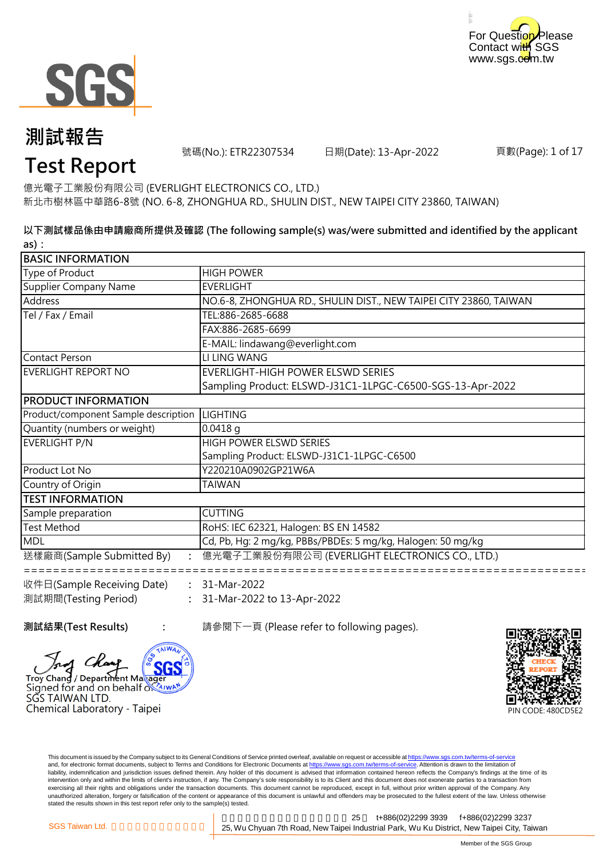



號碼(No.): ETR22307534 日期(Date): 13-Apr-2022

頁數(Page): 1 of 17

### **Test Report**

新北市樹林區中華路6-8號 (NO. 6-8, ZHONGHUA RD., SHULIN DIST., NEW TAIPEI CITY 23860, TAIWAN) 億光電子工業股份有限公司 (EVERLIGHT ELECTRONICS CO., LTD.)

**以下測試樣品係由申請廠商所提供及確認 (The following sample(s) was/were submitted and identified by the applicant as):**

| <b>BASIC INFORMATION</b>                        |                                                                   |
|-------------------------------------------------|-------------------------------------------------------------------|
| Type of Product                                 | <b>HIGH POWER</b>                                                 |
| Supplier Company Name                           | <b>EVERLIGHT</b>                                                  |
| Address                                         | NO.6-8, ZHONGHUA RD., SHULIN DIST., NEW TAIPEI CITY 23860, TAIWAN |
| Tel / Fax / Email                               | TEL:886-2685-6688                                                 |
|                                                 | FAX:886-2685-6699                                                 |
|                                                 | E-MAIL: lindawang@everlight.com                                   |
| Contact Person                                  | LI LING WANG                                                      |
| EVERLIGHT REPORT NO                             | <b>EVERLIGHT-HIGH POWER ELSWD SERIES</b>                          |
|                                                 | Sampling Product: ELSWD-J31C1-1LPGC-C6500-SGS-13-Apr-2022         |
| <b>PRODUCT INFORMATION</b>                      |                                                                   |
| Product/component Sample description   LIGHTING |                                                                   |
| Quantity (numbers or weight)                    | $0.0418$ g                                                        |
| EVERLIGHT P/N                                   | HIGH POWER ELSWD SERIES                                           |
|                                                 | Sampling Product: ELSWD-J31C1-1LPGC-C6500                         |
| Product Lot No                                  | Y220210A0902GP21W6A                                               |
| Country of Origin                               | <b>TAIWAN</b>                                                     |
| <b>ITEST INFORMATION</b>                        |                                                                   |
| Sample preparation                              | <b>CUTTING</b>                                                    |
| <b>Test Method</b>                              | RoHS: IEC 62321, Halogen: BS EN 14582                             |
| <b>MDL</b>                                      | Cd, Pb, Hg: 2 mg/kg, PBBs/PBDEs: 5 mg/kg, Halogen: 50 mg/kg       |
| 送樣廠商(Sample Submitted By)                       | 億光電子工業股份有限公司 (EVERLIGHT ELECTRONICS CO., LTD.)                    |
| 收件日(Sample Receiving Date)                      | 31-Mar-2022                                                       |
| 測試期間(Testing Period)                            | 31-Mar-2022 to 13-Apr-2022                                        |

**測試結果(Test Results) :** 請參閱下一頁 (Please refer to following pages).





This document is issued by the Company subject to its General Conditions of Service printed overleaf, available on request or accessible at https://www.sgs.com.tw/terms-of-service and, for electronic format documents, subject to Terms and Conditions for Electronic Documents at https://www.sgs.com.tw/terms-of-service. Attention is drawn to the limitation of liability, indemnification and jurisdiction issues defined therein. Any holder of this document is advised that information contained hereon reflects the Company's findings at the time of its intervention only and within the limits of client's instruction, if any. The Company's sole responsibility is to its Client and this document does not exonerate parties to a transaction from exercising all their rights and obligations under the transaction documents. This document cannot be reproduced, except in full, without prior written approval of the Company. Any<br>unauthorized alteration, forgery or falsif stated the results shown in this test report refer only to the sample(s) tested.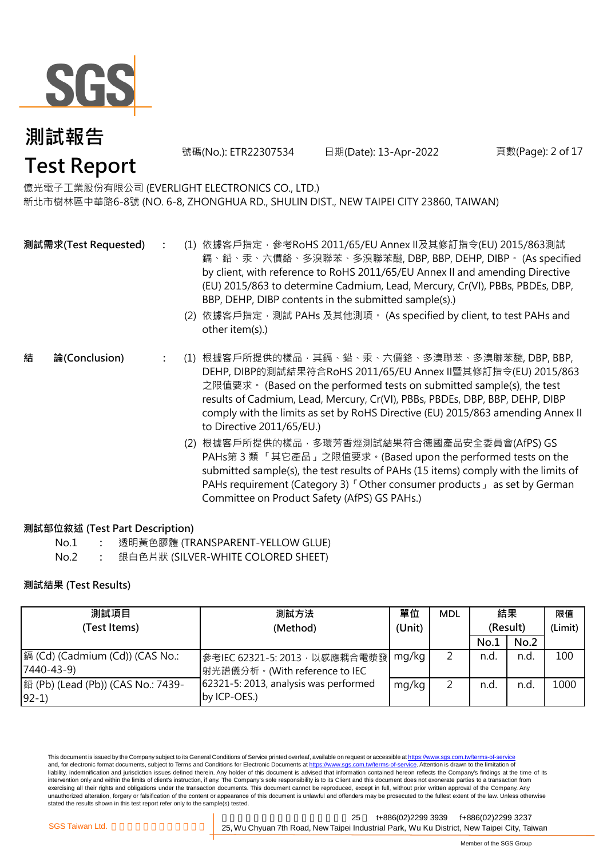

號碼(No.): ETR22307534 日期(Date): 13-Apr-2022

#### 頁數(Page): 2 of 17

#### 億光電子工業股份有限公司 (EVERLIGHT ELECTRONICS CO., LTD.)

新北市樹林區中華路6-8號 (NO. 6-8, ZHONGHUA RD., SHULIN DIST., NEW TAIPEI CITY 23860, TAIWAN)

- **:** (1) 依據客戶指定,參考RoHS 2011/65/EU Annex II及其修訂指令(EU) 2015/863測試 鎘、鉛、汞、六價鉻、多溴聯苯、多溴聯苯醚, DBP, BBP, DEHP, DIBP。 (As specified by client, with reference to RoHS 2011/65/EU Annex II and amending Directive (EU) 2015/863 to determine Cadmium, Lead, Mercury, Cr(VI), PBBs, PBDEs, DBP, BBP, DEHP, DIBP contents in the submitted sample(s).) **測試需求(Test Requested)**
	- (2) 依據客戶指定,測試 PAHs 及其他測項。 (As specified by client, to test PAHs and other item(s).)
	- **:** (1) 根據客戶所提供的樣品,其鎘、鉛、汞、六價鉻、多溴聯苯、多溴聯苯醚, DBP, BBP, DEHP, DIBP的測試結果符合RoHS 2011/65/EU Annex II暨其修訂指令(EU) 2015/863 之限值要求。 (Based on the performed tests on submitted sample(s), the test results of Cadmium, Lead, Mercury, Cr(VI), PBBs, PBDEs, DBP, BBP, DEHP, DIBP comply with the limits as set by RoHS Directive (EU) 2015/863 amending Annex II to Directive 2011/65/EU.) **結 論(Conclusion)**
		- (2) 根據客戶所提供的樣品,多環芳香烴測試結果符合德國產品安全委員會(AfPS) GS PAHs第 3 類 「其它產品」之限值要求。(Based upon the performed tests on the submitted sample(s), the test results of PAHs (15 items) comply with the limits of PAHs requirement (Category 3) 「Other consumer products」 as set by German Committee on Product Safety (AfPS) GS PAHs.)

#### **測試部位敘述 (Test Part Description)**

- No.1 **:** 透明黃色膠體 (TRANSPARENT-YELLOW GLUE)
- No.2 **:** 銀白色片狀 (SILVER-WHITE COLORED SHEET)

#### **測試結果 (Test Results)**

| 測試項目                               | 測試方法                                  | 單位     | <b>MDL</b> | 結果       |      | 限值      |
|------------------------------------|---------------------------------------|--------|------------|----------|------|---------|
| (Test Items)                       | (Method)                              | (Unit) |            | (Result) |      | (Limit) |
|                                    |                                       |        |            | No.1     | No.2 |         |
| 鎘 (Cd) (Cadmium (Cd)) (CAS No.:    | 參考IEC 62321-5: 2013, 以感應耦合電漿發  mg/kg  |        |            | n.d.     | n.d. | 100     |
| $7440 - 43 - 9$                    | 射光譜儀分析。(With reference to IEC         |        |            |          |      |         |
| 銟 (Pb) (Lead (Pb)) (CAS No.: 7439- | 62321-5: 2013, analysis was performed | mg/kg  |            | n.d.     | n.d. | 1000    |
| $92-1)$                            | by ICP-OES.)                          |        |            |          |      |         |

This document is issued by the Company subject to its General Conditions of Service printed overleaf, available on request or accessible at https://www.sgs.com.tw/terms-of-service and, for electronic format documents, subject to Terms and Conditions for Electronic Documents at https://www.sgs.com.tw/terms-of-service. Attention is drawn to the limitation of liability, indemnification and jurisdiction issues defined therein. Any holder of this document is advised that information contained hereon reflects the Company's findings at the time of its intervention only and within the limits of client's instruction, if any. The Company's sole responsibility is to its Client and this document does not exonerate parties to a transaction from exercising all their rights and obligations under the transaction documents. This document cannot be reproduced, except in full, without prior written approval of the Company. Any unauthorized alteration, forgery or falsification of the content or appearance of this document is unlawful and offenders may be prosecuted to the fullest extent of the law. Unless otherwise stated the results shown in this test report refer only to the sample(s) tested.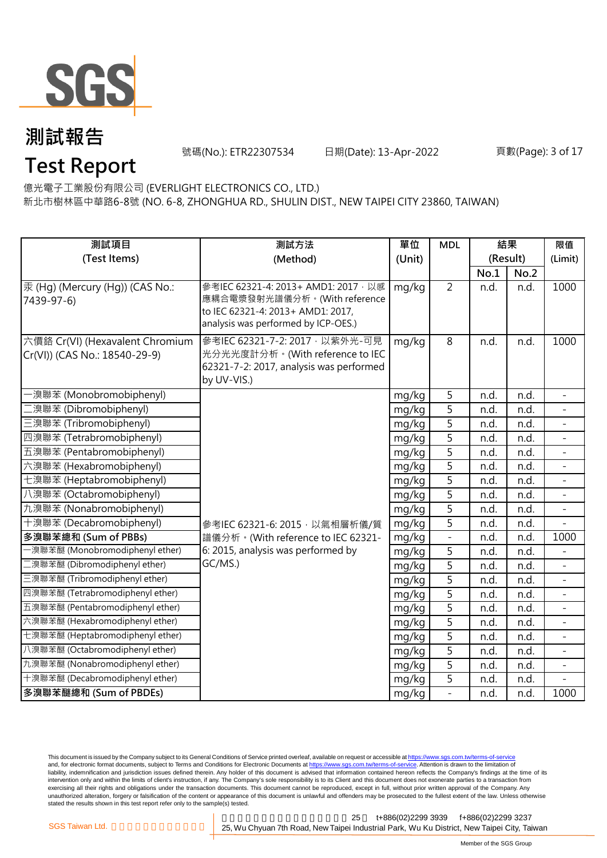

**Test Report**

號碼(No.): ETR22307534 日期(Date): 13-Apr-2022

#### 頁數(Page): 3 of 17

億光電子工業股份有限公司 (EVERLIGHT ELECTRONICS CO., LTD.)

新北市樹林區中華路6-8號 (NO. 6-8, ZHONGHUA RD., SHULIN DIST., NEW TAIPEI CITY 23860, TAIWAN)

| 測試項目                                                             | 測試方法                                                                                                                                             | 單位     | <b>MDL</b>               | 結果       |      | 限值                       |
|------------------------------------------------------------------|--------------------------------------------------------------------------------------------------------------------------------------------------|--------|--------------------------|----------|------|--------------------------|
| (Test Items)                                                     | (Method)                                                                                                                                         | (Unit) |                          | (Result) |      | (Limit)                  |
|                                                                  |                                                                                                                                                  |        |                          | No.1     | No.2 |                          |
| 汞 (Hg) (Mercury (Hg)) (CAS No.:<br>7439-97-6)                    | 參考IEC 62321-4: 2013+ AMD1: 2017 · 以感<br>應耦合電漿發射光譜儀分析。(With reference<br>to IEC 62321-4: 2013+ AMD1: 2017,<br>analysis was performed by ICP-OES.) | mg/kg  | $\overline{2}$           | n.d.     | n.d. | 1000                     |
| 六價鉻 Cr(VI) (Hexavalent Chromium<br>Cr(VI)) (CAS No.: 18540-29-9) | 參考IEC 62321-7-2: 2017 · 以紫外光-可見<br>光分光光度計分析。(With reference to IEC<br>62321-7-2: 2017, analysis was performed<br>by UV-VIS.)                     | mg/kg  | $\overline{8}$           | n.d.     | n.d. | 1000                     |
| -溴聯苯 (Monobromobiphenyl)                                         |                                                                                                                                                  | mg/kg  | 5                        | n.d.     | n.d. | ÷.                       |
| 二溴聯苯 (Dibromobiphenyl)                                           |                                                                                                                                                  | mg/kg  | 5                        | n.d.     | n.d. |                          |
| 三溴聯苯 (Tribromobiphenyl)                                          |                                                                                                                                                  | mg/kg  | 5                        | n.d.     | n.d. | $\overline{\phantom{0}}$ |
| 四溴聯苯 (Tetrabromobiphenyl)                                        |                                                                                                                                                  | mg/kg  | 5                        | n.d.     | n.d. | $\overline{\phantom{a}}$ |
| 五溴聯苯 (Pentabromobiphenyl)                                        |                                                                                                                                                  | mg/kg  | $\overline{5}$           | n.d.     | n.d. |                          |
| 六溴聯苯 (Hexabromobiphenyl)                                         |                                                                                                                                                  | mg/kg  | $\overline{5}$           | n.d.     | n.d. |                          |
| 七溴聯苯 (Heptabromobiphenyl)                                        |                                                                                                                                                  | mg/kg  | $\overline{5}$           | n.d.     | n.d. | $\overline{\phantom{0}}$ |
| 八溴聯苯 (Octabromobiphenyl)                                         |                                                                                                                                                  | mg/kg  | 5                        | n.d.     | n.d. |                          |
| 九溴聯苯 (Nonabromobiphenyl)                                         |                                                                                                                                                  | mg/kg  | 5                        | n.d.     | n.d. |                          |
| 十溴聯苯 (Decabromobiphenyl)                                         | 參考IEC 62321-6: 2015, 以氣相層析儀/質                                                                                                                    | mg/kg  | 5                        | n.d.     | n.d. |                          |
| 多溴聯苯總和 (Sum of PBBs)                                             | 譜儀分析。(With reference to IEC 62321-                                                                                                               | mg/kg  | $\overline{\phantom{a}}$ | n.d.     | n.d. | 1000                     |
| -溴聯苯醚 (Monobromodiphenyl ether)                                  | 6: 2015, analysis was performed by                                                                                                               | mg/kg  | 5                        | n.d.     | n.d. |                          |
| 二溴聯苯醚 (Dibromodiphenyl ether)                                    | GC/MS.)                                                                                                                                          | mg/kg  | $\overline{5}$           | n.d.     | n.d. |                          |
| 三溴聯苯醚 (Tribromodiphenyl ether)                                   |                                                                                                                                                  | mg/kg  | $\overline{5}$           | n.d.     | n.d. | $\blacksquare$           |
| 四溴聯苯醚 (Tetrabromodiphenyl ether)                                 |                                                                                                                                                  | mg/kg  | $\overline{5}$           | n.d.     | n.d. | $\equiv$                 |
| 五溴聯苯醚 (Pentabromodiphenyl ether)                                 |                                                                                                                                                  | mg/kg  | 5                        | n.d.     | n.d. |                          |
| 六溴聯苯醚 (Hexabromodiphenyl ether)                                  |                                                                                                                                                  | mg/kg  | 5                        | n.d.     | n.d. |                          |
| 七溴聯苯醚 (Heptabromodiphenyl ether)                                 |                                                                                                                                                  | mg/kg  | 5                        | n.d.     | n.d. |                          |
| 八溴聯苯醚 (Octabromodiphenyl ether)                                  |                                                                                                                                                  | mg/kg  | $\overline{5}$           | n.d.     | n.d. |                          |
| 九溴聯苯醚 (Nonabromodiphenyl ether)                                  |                                                                                                                                                  | mg/kg  | 5                        | n.d.     | n.d. |                          |
| 十溴聯苯醚 (Decabromodiphenyl ether)                                  |                                                                                                                                                  | mg/kg  | $\overline{5}$           | n.d.     | n.d. |                          |
| 多溴聯苯醚總和 (Sum of PBDEs)                                           |                                                                                                                                                  | mg/kg  | $\overline{a}$           | n.d.     | n.d. | 1000                     |

This document is issued by the Company subject to its General Conditions of Service printed overleaf, available on request or accessible at <u>https://www.sgs.com.tw/terms-of-service</u><br>and, for electronic format documents, su liability, indemnification and jurisdiction issues defined therein. Any holder of this document is advised that information contained hereon reflects the Company's findings at the time of its intervention only and within the limits of client's instruction, if any. The Company's sole responsibility is to its Client and this document does not exonerate parties to a transaction from exercising all their rights and obligations under the transaction documents. This document cannot be reproduced, except in full, without prior written approval of the Company. Any<br>unauthorized alteration, forgery or falsif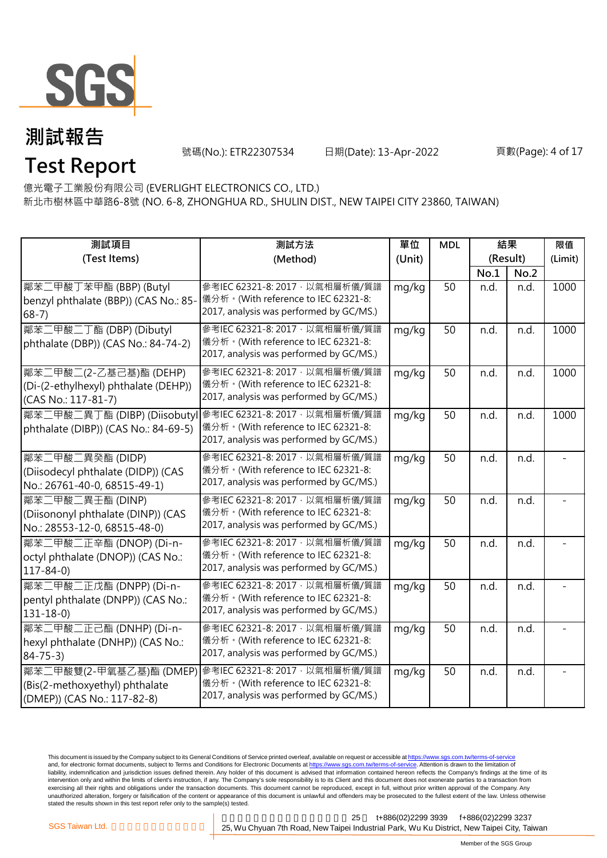

號碼(No.): ETR22307534 日期(Date): 13-Apr-2022

#### 頁數(Page): 4 of 17

**Test Report** 億光電子工業股份有限公司 (EVERLIGHT ELECTRONICS CO., LTD.)

新北市樹林區中華路6-8號 (NO. 6-8, ZHONGHUA RD., SHULIN DIST., NEW TAIPEI CITY 23860, TAIWAN)

| 測試項目                                                                                     | 測試方法                                                                                                             | 單位     | <b>MDL</b> | 結果       |      | 限值      |
|------------------------------------------------------------------------------------------|------------------------------------------------------------------------------------------------------------------|--------|------------|----------|------|---------|
| (Test Items)                                                                             | (Method)                                                                                                         | (Unit) |            | (Result) |      | (Limit) |
|                                                                                          |                                                                                                                  |        |            | No.1     | No.2 |         |
| 鄰苯二甲酸丁苯甲酯 (BBP) (Butyl<br>benzyl phthalate (BBP)) (CAS No.: 85-<br>$68 - 7$ )            | 參考IEC 62321-8: 2017, 以氣相層析儀/質譜<br>儀分析。(With reference to IEC 62321-8:<br>2017, analysis was performed by GC/MS.) | mg/kg  | 50         | n.d.     | n.d. | 1000    |
| 鄰苯二甲酸二丁酯 (DBP) (Dibutyl<br>phthalate (DBP)) (CAS No.: 84-74-2)                           | 參考IEC 62321-8: 2017, 以氣相層析儀/質譜<br>儀分析。(With reference to IEC 62321-8:<br>2017, analysis was performed by GC/MS.) | mg/kg  | 50         | n.d.     | n.d. | 1000    |
| 鄰苯二甲酸二(2-乙基己基)酯 (DEHP)<br>(Di-(2-ethylhexyl) phthalate (DEHP))<br>(CAS No.: 117-81-7)    | 參考IEC 62321-8: 2017, 以氣相層析儀/質譜<br>儀分析。(With reference to IEC 62321-8:<br>2017, analysis was performed by GC/MS.) | mg/kg  | 50         | n.d.     | n.d. | 1000    |
| 鄰苯二甲酸二異丁酯 (DIBP) (Diisobuty<br>phthalate (DIBP)) (CAS No.: 84-69-5)                      | 參考IEC 62321-8: 2017, 以氣相層析儀/質譜<br>儀分析。(With reference to IEC 62321-8:<br>2017, analysis was performed by GC/MS.) | mg/kg  | 50         | n.d.     | n.d. | 1000    |
| 鄰苯二甲酸二異癸酯 (DIDP)<br>(Diisodecyl phthalate (DIDP)) (CAS<br>No.: 26761-40-0, 68515-49-1)   | 參考IEC 62321-8: 2017, 以氣相層析儀/質譜<br>儀分析。(With reference to IEC 62321-8:<br>2017, analysis was performed by GC/MS.) | mg/kg  | 50         | n.d.     | n.d. |         |
| 鄰苯二甲酸二異壬酯 (DINP)<br>(Diisononyl phthalate (DINP)) (CAS<br>No.: 28553-12-0, 68515-48-0)   | 參考IEC 62321-8: 2017, 以氣相層析儀/質譜<br>儀分析。(With reference to IEC 62321-8:<br>2017, analysis was performed by GC/MS.) | mg/kg  | 50         | n.d.     | n.d. |         |
| 鄰苯二甲酸二正辛酯 (DNOP) (Di-n-<br>octyl phthalate (DNOP)) (CAS No.:<br>$117 - 84 - 0$           | 參考IEC 62321-8: 2017, 以氣相層析儀/質譜<br>儀分析。(With reference to IEC 62321-8:<br>2017, analysis was performed by GC/MS.) | mg/kg  | 50         | n.d.     | n.d. |         |
| 鄰苯二甲酸二正戊酯 (DNPP) (Di-n-<br>pentyl phthalate (DNPP)) (CAS No.:<br>$131 - 18 - 0$          | 參考IEC 62321-8: 2017, 以氣相層析儀/質譜<br>儀分析。(With reference to IEC 62321-8:<br>2017, analysis was performed by GC/MS.) | mg/kg  | 50         | n.d.     | n.d. |         |
| 鄰苯二甲酸二正己酯 (DNHP) (Di-n-<br>hexyl phthalate (DNHP)) (CAS No.:<br>$84 - 75 - 3$            | 參考IEC 62321-8: 2017, 以氣相層析儀/質譜<br>儀分析。(With reference to IEC 62321-8:<br>2017, analysis was performed by GC/MS.) | mg/kg  | 50         | n.d.     | n.d. |         |
| 鄰苯二甲酸雙(2-甲氧基乙基)酯 (DMEP)<br>(Bis(2-methoxyethyl) phthalate<br>(DMEP)) (CAS No.: 117-82-8) | 參考IEC 62321-8: 2017, 以氣相層析儀/質譜<br>儀分析。(With reference to IEC 62321-8:<br>2017, analysis was performed by GC/MS.) | mg/kg  | 50         | n.d.     | n.d. |         |

This document is issued by the Company subject to its General Conditions of Service printed overleaf, available on request or accessible at <u>https://www.sgs.com.tw/terms-of-service</u><br>and, for electronic format documents, su liability, indemnification and jurisdiction issues defined therein. Any holder of this document is advised that information contained hereon reflects the Company's findings at the time of its intervention only and within the limits of client's instruction, if any. The Company's sole responsibility is to its Client and this document does not exonerate parties to a transaction from exercising all their rights and obligations under the transaction documents. This document cannot be reproduced, except in full, without prior written approval of the Company. Any<br>unauthorized alteration, forgery or falsif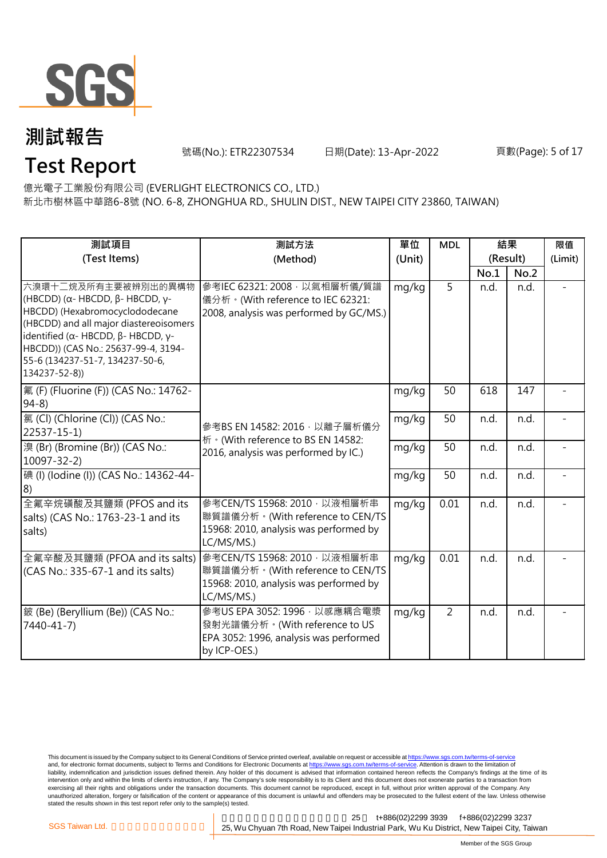

**Test Report**

號碼(No.): ETR22307534 日期(Date): 13-Apr-2022

#### 頁數(Page): 5 of 17

億光電子工業股份有限公司 (EVERLIGHT ELECTRONICS CO., LTD.)

新北市樹林區中華路6-8號 (NO. 6-8, ZHONGHUA RD., SHULIN DIST., NEW TAIPEI CITY 23860, TAIWAN)

| 測試項目                                                                                                                                                                                                                                                                                                           | 測試方法                                                                                                                     | 單位     | <b>MDL</b> | 結果       |      | 限值      |
|----------------------------------------------------------------------------------------------------------------------------------------------------------------------------------------------------------------------------------------------------------------------------------------------------------------|--------------------------------------------------------------------------------------------------------------------------|--------|------------|----------|------|---------|
| (Test Items)                                                                                                                                                                                                                                                                                                   | (Method)                                                                                                                 | (Unit) |            | (Result) |      | (Limit) |
|                                                                                                                                                                                                                                                                                                                |                                                                                                                          |        |            | No.1     | No.2 |         |
| 六溴環十二烷及所有主要被辨別出的異構物<br>(HBCDD) ( $\alpha$ - HBCDD, $\beta$ - HBCDD, γ-<br>HBCDD) (Hexabromocyclododecane<br>(HBCDD) and all major diastereoisomers<br>identified ( $\alpha$ - HBCDD, $\beta$ - HBCDD, $\gamma$ -<br>HBCDD)) (CAS No.: 25637-99-4, 3194-<br>55-6 (134237-51-7, 134237-50-6,<br>$134237 - 52-8)$ | 參考IEC 62321: 2008, 以氣相層析儀/質譜<br>儀分析。(With reference to IEC 62321:<br>2008, analysis was performed by GC/MS.)             | mg/kg  | 5          | n.d.     | n.d. |         |
| 氟 (F) (Fluorine (F)) (CAS No.: 14762-<br>$94-8$                                                                                                                                                                                                                                                                |                                                                                                                          | mg/kg  | 50         | 618      | 147  |         |
| 氯 (Cl) (Chlorine (Cl)) (CAS No.:<br>$22537 - 15 - 1$                                                                                                                                                                                                                                                           | 參考BS EN 14582: 2016 · 以離子層析儀分<br>析 · (With reference to BS EN 14582:                                                     | mg/kg  | 50         | n.d.     | n.d. |         |
| 溴 (Br) (Bromine (Br)) (CAS No.:<br>$10097 - 32 - 2$                                                                                                                                                                                                                                                            | 2016, analysis was performed by IC.)                                                                                     | mg/kg  | 50         | n.d.     | n.d. |         |
| 碘 (I) (lodine (I)) (CAS No.: 14362-44-<br>8)                                                                                                                                                                                                                                                                   | mg/kg                                                                                                                    |        | 50         | n.d.     | n.d. |         |
| 全氟辛烷磺酸及其鹽類 (PFOS and its<br>salts) (CAS No.: 1763-23-1 and its<br>salts)                                                                                                                                                                                                                                       | 參考CEN/TS 15968: 2010, 以液相層析串<br>聯質譜儀分析。(With reference to CEN/TS<br>15968: 2010, analysis was performed by<br>LC/MS/MS.) | mg/kg  | 0.01       | n.d.     | n.d. |         |
| 全氟辛酸及其鹽類 (PFOA and its salts)<br>(CAS No.: 335-67-1 and its salts)                                                                                                                                                                                                                                             | 參考CEN/TS 15968: 2010, 以液相層析串<br>聯質譜儀分析。(With reference to CEN/TS<br>15968: 2010, analysis was performed by<br>LC/MS/MS.) | mg/kg  | 0.01       | n.d.     | n.d. |         |
| 鈹 (Be) (Beryllium (Be)) (CAS No.:<br>7440-41-7)                                                                                                                                                                                                                                                                | 參考US EPA 3052: 1996 · 以感應耦合電漿<br>發射光譜儀分析。(With reference to US<br>EPA 3052: 1996, analysis was performed<br>by ICP-OES.) | mg/kg  | 2          | n.d.     | n.d. |         |

This document is issued by the Company subject to its General Conditions of Service printed overleaf, available on request or accessible at <u>https://www.sgs.com.tw/terms-of-service</u><br>and, for electronic format documents, su liability, indemnification and jurisdiction issues defined therein. Any holder of this document is advised that information contained hereon reflects the Company's findings at the time of its intervention only and within the limits of client's instruction, if any. The Company's sole responsibility is to its Client and this document does not exonerate parties to a transaction from exercising all their rights and obligations under the transaction documents. This document cannot be reproduced, except in full, without prior written approval of the Company. Any<br>unauthorized alteration, forgery or falsif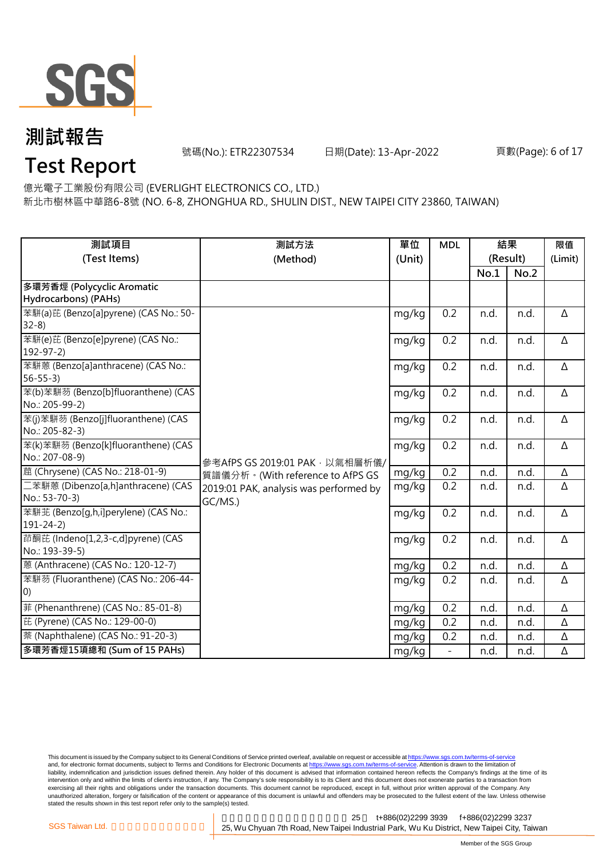

號碼(No.): ETR22307534 日期(Date): 13-Apr-2022

#### 頁數(Page): 6 of 17

### **Test Report**

億光電子工業股份有限公司 (EVERLIGHT ELECTRONICS CO., LTD.)

新北市樹林區中華路6-8號 (NO. 6-8, ZHONGHUA RD., SHULIN DIST., NEW TAIPEI CITY 23860, TAIWAN)

| 測試項目                                  | 測試方法                                   | 單位     | <b>MDL</b>               | 結果       |      | 限值       |
|---------------------------------------|----------------------------------------|--------|--------------------------|----------|------|----------|
| (Test Items)                          | (Method)                               | (Unit) |                          | (Result) |      | (Limit)  |
|                                       |                                        |        |                          | No.1     | No.2 |          |
| 多環芳香烴 (Polycyclic Aromatic            |                                        |        |                          |          |      |          |
| Hydrocarbons) (PAHs)                  |                                        |        |                          |          |      |          |
| 苯駢(a)芘 (Benzo[a]pyrene) (CAS No.: 50- |                                        | mg/kg  | 0.2                      | n.d.     | n.d. | Δ        |
| $32-8$                                |                                        |        |                          |          |      |          |
| 苯駢(e)芘 (Benzo[e]pyrene) (CAS No.:     |                                        | mg/kg  | 0.2                      | n.d.     | n.d. | Δ        |
| $192 - 97 - 2$                        |                                        |        |                          |          |      |          |
| 苯駢蒽 (Benzo[a]anthracene) (CAS No.:    |                                        | mg/kg  | 0.2                      | n.d.     | n.d. | $\Delta$ |
| $56 - 55 - 3$                         |                                        |        |                          |          |      |          |
| 苯(b)苯駢芴 (Benzo[b]fluoranthene) (CAS   |                                        | mg/kg  | 0.2                      | n.d.     | n.d. | Δ        |
| No.: 205-99-2)                        |                                        |        |                          |          |      |          |
| 苯(j)苯駢芴 (Benzo[j]fluoranthene) (CAS   |                                        | mg/kg  | 0.2                      | n.d.     | n.d. | Δ        |
| No.: 205-82-3)                        |                                        |        |                          |          |      |          |
| 苯(k)苯駢芴 (Benzo[k]fluoranthene) (CAS   |                                        | mg/kg  | 0.2                      | n.d.     | n.d. | $\Delta$ |
| No.: 207-08-9)                        | 參考AfPS GS 2019:01 PAK, 以氣相層析儀/         |        |                          |          |      |          |
| 蔰 (Chrysene) (CAS No.: 218-01-9)      | 質譜儀分析。(With reference to AfPS GS       | mg/kg  | 0.2                      | n.d.     | n.d. | $\Delta$ |
| 二苯駢蒽 (Dibenzo[a,h]anthracene) (CAS    | 2019:01 PAK, analysis was performed by | mg/kg  | 0.2                      | n.d.     | n.d. | Δ        |
| No.: 53-70-3)                         | GC/MS.)                                |        |                          |          |      |          |
| 苯駢苝 (Benzo[q,h,i]perylene) (CAS No.:  |                                        | mg/kg  | 0.2                      | n.d.     | n.d. | $\Delta$ |
| $191 - 24 - 2$                        |                                        |        |                          |          |      |          |
| 茚酮芘 (Indeno[1,2,3-c,d]pyrene) (CAS    |                                        | mg/kg  | 0.2                      | n.d.     | n.d. | Δ        |
| No.: 193-39-5)                        |                                        |        |                          |          |      |          |
| 蒽 (Anthracene) (CAS No.: 120-12-7)    |                                        | mg/kg  | 0.2                      | n.d.     | n.d. | Δ        |
| 苯駢芴 (Fluoranthene) (CAS No.: 206-44-  |                                        | mg/kg  | 0.2                      | n.d.     | n.d. | Δ        |
| (0)                                   |                                        |        |                          |          |      |          |
| 菲 (Phenanthrene) (CAS No.: 85-01-8)   |                                        | mg/kg  | 0.2                      | n.d.     | n.d. | $\Delta$ |
| 芘 (Pyrene) (CAS No.: 129-00-0)        |                                        | mg/kg  | 0.2                      | n.d.     | n.d. | Δ        |
| 萘 (Naphthalene) (CAS No.: 91-20-3)    |                                        | mg/kg  | 0.2                      | n.d.     | n.d. | $\Delta$ |
| 多環芳香烴15項總和 (Sum of 15 PAHs)           |                                        | mg/kg  | $\overline{\phantom{a}}$ | n.d.     | n.d. | Δ        |

This document is issued by the Company subject to its General Conditions of Service printed overleaf, available on request or accessible at <u>https://www.sgs.com.tw/terms-of-service</u><br>and, for electronic format documents, su liability, indemnification and jurisdiction issues defined therein. Any holder of this document is advised that information contained hereon reflects the Company's findings at the time of its intervention only and within the limits of client's instruction, if any. The Company's sole responsibility is to its Client and this document does not exonerate parties to a transaction from exercising all their rights and obligations under the transaction documents. This document cannot be reproduced, except in full, without prior written approval of the Company. Any<br>unauthorized alteration, forgery or falsif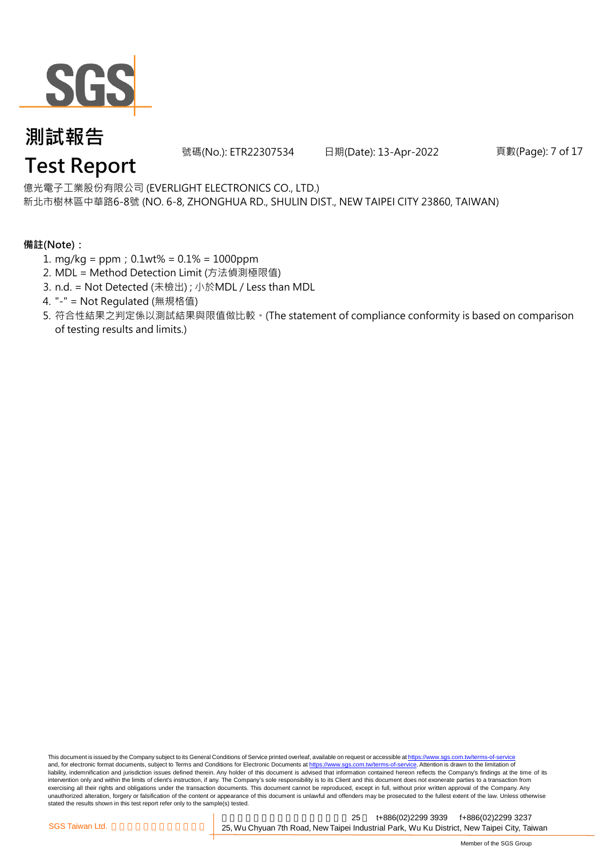

號碼(No.): ETR22307534 日期(Date): 13-Apr-2022

頁數(Page): 7 of 17

### **Test Report**

新北市樹林區中華路6-8號 (NO. 6-8, ZHONGHUA RD., SHULIN DIST., NEW TAIPEI CITY 23860, TAIWAN) 億光電子工業股份有限公司 (EVERLIGHT ELECTRONICS CO., LTD.)

#### **備註(Note):**

- 1. mg/kg = ppm;0.1wt% = 0.1% = 1000ppm
- 2. MDL = Method Detection Limit (方法偵測極限值)
- 3. n.d. = Not Detected (未檢出) ; 小於MDL / Less than MDL
- 4. "-" = Not Regulated (無規格值)
- 5. 符合性結果之判定係以測試結果與限值做比較。(The statement of compliance conformity is based on comparison of testing results and limits.)

This document is issued by the Company subject to its General Conditions of Service printed overleaf, available on request or accessible at https://www.sgs.com.tw/terms-of-service and, for electronic format documents, subject to Terms and Conditions for Electronic Documents at https://www.sgs.com.tw/terms-of-service. Attention is drawn to the limitation of liability, indemnification and jurisdiction issues defined therein. Any holder of this document is advised that information contained hereon reflects the Company's findings at the time of its intervention only and within the limits of client's instruction, if any. The Company's sole responsibility is to its Client and this document does not exonerate parties to a transaction from exercising all their rights and obligations under the transaction documents. This document cannot be reproduced, except in full, without prior written approval of the Company. Any<br>unauthorized alteration, forgery or falsif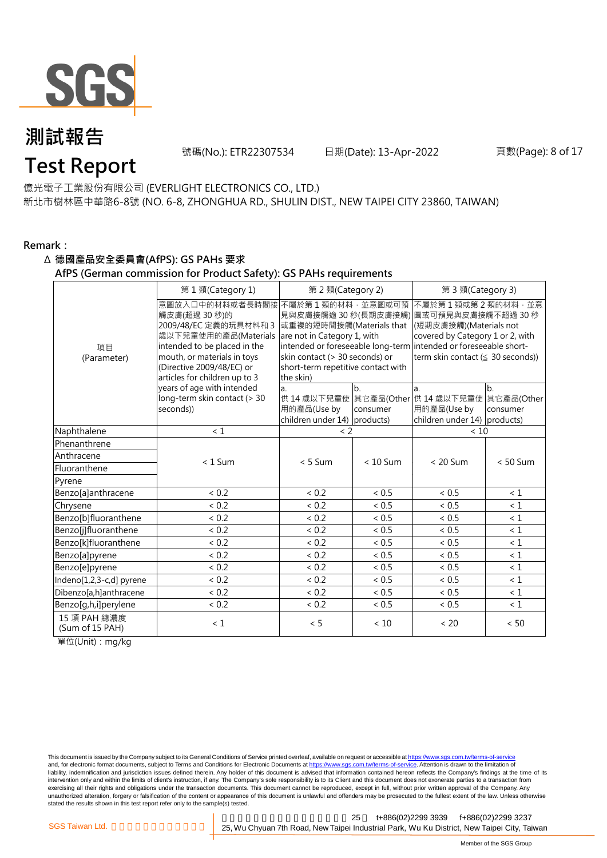

號碼(No.): ETR22307534 日期(Date): 13-Apr-2022

#### 頁數(Page): 8 of 17

### **Test Report**

新北市樹林區中華路6-8號 (NO. 6-8, ZHONGHUA RD., SHULIN DIST., NEW TAIPEI CITY 23860, TAIWAN) 億光電子工業股份有限公司 (EVERLIGHT ELECTRONICS CO., LTD.)

#### **Remark:**

#### Δ **德國產品安全委員會(AfPS): GS PAHs 要求**

**AfPS (German commission for Product Safety): GS PAHs requirements**

|                                 | 第1類(Category 1)                                                                                                                                                                                                                    | 第 2 類(Category 2)                                                                                                                                                                 |                | 第 3 類(Category 3)                                                                                                                                                                                      |                |  |
|---------------------------------|------------------------------------------------------------------------------------------------------------------------------------------------------------------------------------------------------------------------------------|-----------------------------------------------------------------------------------------------------------------------------------------------------------------------------------|----------------|--------------------------------------------------------------------------------------------------------------------------------------------------------------------------------------------------------|----------------|--|
| 項目<br>(Parameter)               | 意圖放入口中的材料或者長時間接 不屬於第 1 類的材料 · 並意圖或可預<br>觸皮膚(超過 30秒)的<br>2009/48/EC 定義的玩具材料和 3<br>歲以下兒童使用的產品(Materials<br>intended to be placed in the<br>mouth, or materials in toys<br>(Directive 2009/48/EC) or<br>articles for children up to 3 | 或重複的短時間接觸(Materials that<br>are not in Category 1, with<br>intended or foreseeable long-term<br>skin contact (> 30 seconds) or<br>short-term repetitive contact with<br>the skin) |                | 不屬於第1類或第2類的材料,並意<br>見與皮膚接觸逾 30 秒(長期皮膚接觸) 圖或可預見與皮膚接觸不超過 30 秒<br>(短期皮膚接觸)(Materials not<br>covered by Category 1 or 2, with<br>intended or foreseeable short-<br>term skin contact ( $\leq$ 30 seconds)) |                |  |
|                                 | years of age with intended<br>long-term skin contact (> 30<br>seconds))                                                                                                                                                            | a.<br>用的產品(Use by<br>children under 14) products)                                                                                                                                 | b.<br>consumer | a.<br>供 14 歳以下兒童使 其它產品(Other 供 14 歳以下兒童使 其它產品(Other<br>用的產品(Use by<br>children under 14) products)                                                                                                     | b.<br>consumer |  |
| Naphthalene                     | < 1                                                                                                                                                                                                                                | $< 2$                                                                                                                                                                             |                | < 10                                                                                                                                                                                                   |                |  |
| Phenanthrene                    |                                                                                                                                                                                                                                    |                                                                                                                                                                                   |                |                                                                                                                                                                                                        |                |  |
| Anthracene                      | $< 1$ Sum                                                                                                                                                                                                                          | $< 5$ Sum                                                                                                                                                                         | $< 10$ Sum     | $< 20$ Sum                                                                                                                                                                                             | $< 50$ Sum     |  |
| Fluoranthene                    |                                                                                                                                                                                                                                    |                                                                                                                                                                                   |                |                                                                                                                                                                                                        |                |  |
| Pyrene                          |                                                                                                                                                                                                                                    |                                                                                                                                                                                   |                |                                                                                                                                                                                                        |                |  |
| Benzo[a]anthracene              | < 0.2                                                                                                                                                                                                                              | < 0.2                                                                                                                                                                             | < 0.5          | ~< 0.5                                                                                                                                                                                                 | $\leq 1$       |  |
| Chrysene                        | < 0.2                                                                                                                                                                                                                              | < 0.2                                                                                                                                                                             | < 0.5          | < 0.5                                                                                                                                                                                                  | $\leq 1$       |  |
| Benzo[b]fluoranthene            | < 0.2                                                                                                                                                                                                                              | < 0.2                                                                                                                                                                             | < 0.5          | < 0.5                                                                                                                                                                                                  | $\leq 1$       |  |
| Benzo[j]fluoranthene            | < 0.2                                                                                                                                                                                                                              | ${}< 0.2$                                                                                                                                                                         | < 0.5          | ${}< 0.5$                                                                                                                                                                                              | $\leq 1$       |  |
| Benzo[k]fluoranthene            | < 0.2                                                                                                                                                                                                                              | < 0.2                                                                                                                                                                             | < 0.5          | < 0.5                                                                                                                                                                                                  | $\leq 1$       |  |
| Benzo[a]pyrene                  | ${}< 0.2$                                                                                                                                                                                                                          | ${}< 0.2$                                                                                                                                                                         | < 0.5          | $< 0.5$                                                                                                                                                                                                | $\leq 1$       |  |
| Benzo[e]pyrene                  | < 0.2                                                                                                                                                                                                                              | ${}< 0.2$                                                                                                                                                                         | < 0.5          | < 0.5                                                                                                                                                                                                  | $\leq 1$       |  |
| Indeno[1,2,3-c,d] pyrene        | < 0.2                                                                                                                                                                                                                              | < 0.2                                                                                                                                                                             | < 0.5          | ${}< 0.5$                                                                                                                                                                                              | $\leq 1$       |  |
| Dibenzo[a,h]anthracene          | < 0.2                                                                                                                                                                                                                              | ${}< 0.2$                                                                                                                                                                         | < 0.5          | ~< 0.5                                                                                                                                                                                                 | < 1            |  |
| Benzo[g,h,i]perylene            | ${}< 0.2$                                                                                                                                                                                                                          | ${}< 0.2$                                                                                                                                                                         | < 0.5          | ${}< 0.5$                                                                                                                                                                                              | $\leq 1$       |  |
| 15 項 PAH 總濃度<br>(Sum of 15 PAH) | $\leq 1$                                                                                                                                                                                                                           | < 5                                                                                                                                                                               | < 10           | < 20                                                                                                                                                                                                   | < 50           |  |

單位(Unit):mg/kg

This document is issued by the Company subject to its General Conditions of Service printed overleaf, available on request or accessible at <u>https://www.sgs.com.tw/terms-of-service</u><br>and, for electronic format documents, su liability, indemnification and jurisdiction issues defined therein. Any holder of this document is advised that information contained hereon reflects the Company's findings at the time of its intervention only and within the limits of client's instruction, if any. The Company's sole responsibility is to its Client and this document does not exonerate parties to a transaction from exercising all their rights and obligations under the transaction documents. This document cannot be reproduced, except in full, without prior written approval of the Company. Any<br>unauthorized alteration, forgery or falsif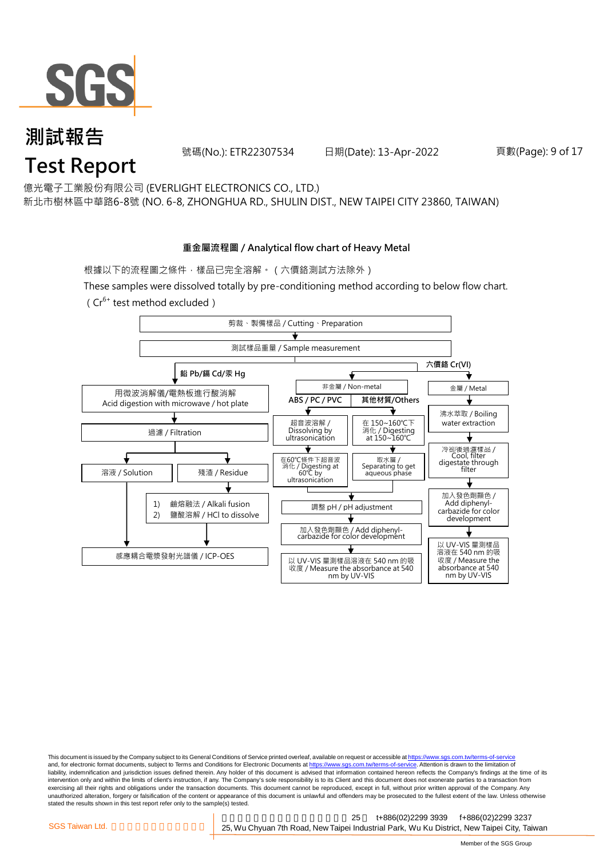

號碼(No.): ETR22307534 日期(Date): 13-Apr-2022

#### 頁數(Page): 9 of 17

億光電子工業股份有限公司 (EVERLIGHT ELECTRONICS CO., LTD.)

新北市樹林區中華路6-8號 (NO. 6-8, ZHONGHUA RD., SHULIN DIST., NEW TAIPEI CITY 23860, TAIWAN)

#### **重金屬流程圖 / Analytical flow chart of Heavy Metal**

根據以下的流程圖之條件,樣品已完全溶解。(六價鉻測試方法除外)

These samples were dissolved totally by pre-conditioning method according to below flow chart.

( $Cr^{6+}$  test method excluded)



This document is issued by the Company subject to its General Conditions of Service printed overleaf, available on request or accessible at https://www.sgs.com.tw/terms-of-service and, for electronic format documents, subject to Terms and Conditions for Electronic Documents at https://www.sgs.com.tw/terms-of-service. Attention is drawn to the limitation of liability, indemnification and jurisdiction issues defined therein. Any holder of this document is advised that information contained hereon reflects the Company's findings at the time of its intervention only and within the limits of client's instruction, if any. The Company's sole responsibility is to its Client and this document does not exonerate parties to a transaction from exercising all their rights and obligations under the transaction documents. This document cannot be reproduced, except in full, without prior written approval of the Company. Any<br>unauthorized alteration, forgery or falsif stated the results shown in this test report refer only to the sample(s) tested.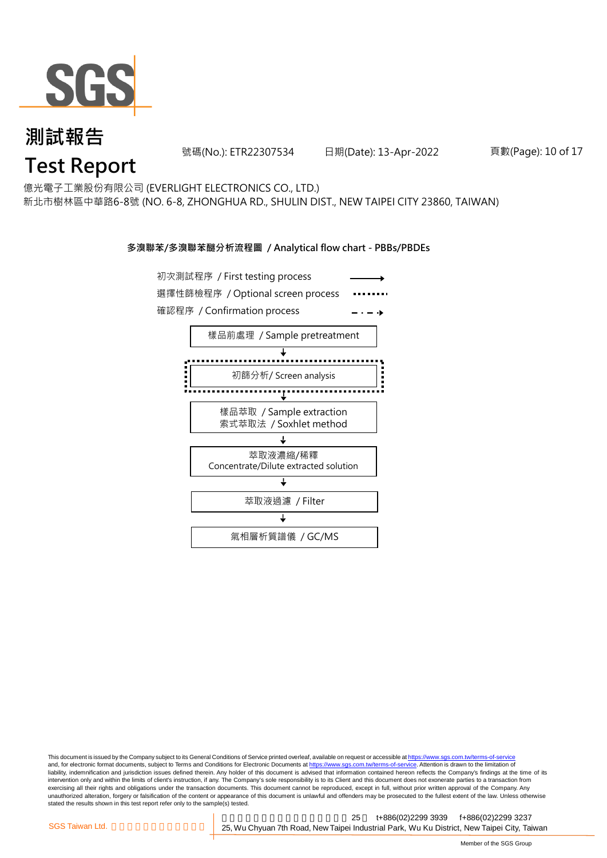

號碼(No.): ETR22307534 日期(Date): 13-Apr-2022

頁數(Page): 10 of 17

億光電子工業股份有限公司 (EVERLIGHT ELECTRONICS CO., LTD.)

新北市樹林區中華路6-8號 (NO. 6-8, ZHONGHUA RD., SHULIN DIST., NEW TAIPEI CITY 23860, TAIWAN)

#### **多溴聯苯/多溴聯苯醚分析流程圖 / Analytical flow chart - PBBs/PBDEs**



This document is issued by the Company subject to its General Conditions of Service printed overleaf, available on request or accessible at https://www.sgs.com.tw/terms-of-service and, for electronic format documents, subject to Terms and Conditions for Electronic Documents at https://www.sgs.com.tw/terms-of-service. Attention is drawn to the limitation of liability, indemnification and jurisdiction issues defined therein. Any holder of this document is advised that information contained hereon reflects the Company's findings at the time of its intervention only and within the limits of client's instruction, if any. The Company's sole responsibility is to its Client and this document does not exonerate parties to a transaction from exercising all their rights and obligations under the transaction documents. This document cannot be reproduced, except in full, without prior written approval of the Company. Any<br>unauthorized alteration, forgery or falsif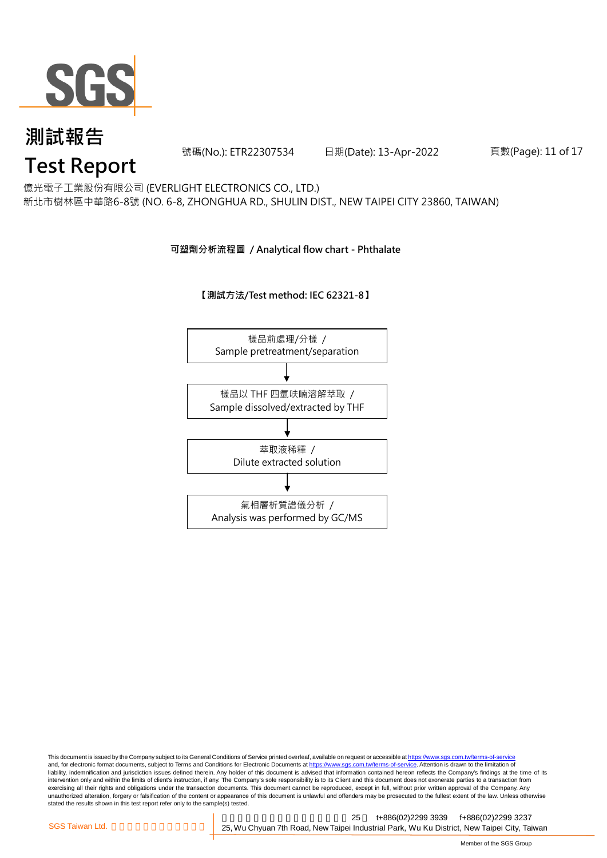

號碼(No.): ETR22307534 日期(Date): 13-Apr-2022

頁數(Page): 11 of 17

### **Test Report**

新北市樹林區中華路6-8號 (NO. 6-8, ZHONGHUA RD., SHULIN DIST., NEW TAIPEI CITY 23860, TAIWAN) 億光電子工業股份有限公司 (EVERLIGHT ELECTRONICS CO., LTD.)

#### **可塑劑分析流程圖 / Analytical flow chart - Phthalate**

#### **【測試方法/Test method: IEC 62321-8】**



This document is issued by the Company subject to its General Conditions of Service printed overleaf, available on request or accessible at <u>https://www.sgs.com.tw/terms-of-service</u><br>and, for electronic format documents, su liability, indemnification and jurisdiction issues defined therein. Any holder of this document is advised that information contained hereon reflects the Company's findings at the time of its intervention only and within the limits of client's instruction, if any. The Company's sole responsibility is to its Client and this document does not exonerate parties to a transaction from exercising all their rights and obligations under the transaction documents. This document cannot be reproduced, except in full, without prior written approval of the Company. Any<br>unauthorized alteration, forgery or falsif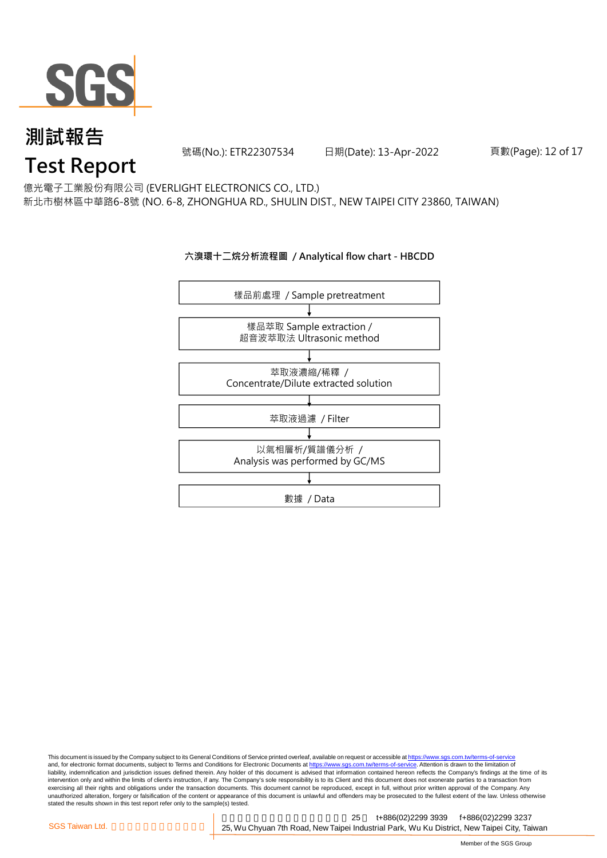

號碼(No.): ETR22307534 日期(Date): 13-Apr-2022

#### 頁數(Page): 12 of 17

億光電子工業股份有限公司 (EVERLIGHT ELECTRONICS CO., LTD.)

新北市樹林區中華路6-8號 (NO. 6-8, ZHONGHUA RD., SHULIN DIST., NEW TAIPEI CITY 23860, TAIWAN)

#### **六溴環十二烷分析流程圖 / Analytical flow chart - HBCDD**



This document is issued by the Company subject to its General Conditions of Service printed overleaf, available on request or accessible at <u>https://www.sgs.com.tw/terms-of-service</u><br>and, for electronic format documents, su liability, indemnification and jurisdiction issues defined therein. Any holder of this document is advised that information contained hereon reflects the Company's findings at the time of its intervention only and within the limits of client's instruction, if any. The Company's sole responsibility is to its Client and this document does not exonerate parties to a transaction from exercising all their rights and obligations under the transaction documents. This document cannot be reproduced, except in full, without prior written approval of the Company. Any<br>unauthorized alteration, forgery or falsif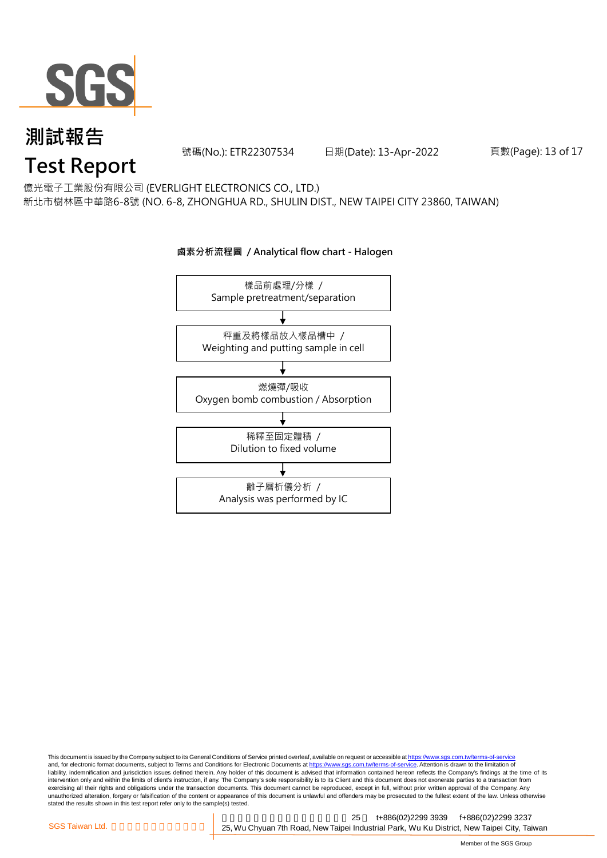

號碼(No.): ETR22307534 日期(Date): 13-Apr-2022

頁數(Page): 13 of 17

億光電子工業股份有限公司 (EVERLIGHT ELECTRONICS CO., LTD.)

新北市樹林區中華路6-8號 (NO. 6-8, ZHONGHUA RD., SHULIN DIST., NEW TAIPEI CITY 23860, TAIWAN)



#### **鹵素分析流程圖 / Analytical flow chart - Halogen**

This document is issued by the Company subject to its General Conditions of Service printed overleaf, available on request or accessible at <u>https://www.sgs.com.tw/terms-of-service</u><br>and, for electronic format documents, su liability, indemnification and jurisdiction issues defined therein. Any holder of this document is advised that information contained hereon reflects the Company's findings at the time of its intervention only and within the limits of client's instruction, if any. The Company's sole responsibility is to its Client and this document does not exonerate parties to a transaction from exercising all their rights and obligations under the transaction documents. This document cannot be reproduced, except in full, without prior written approval of the Company. Any<br>unauthorized alteration, forgery or falsif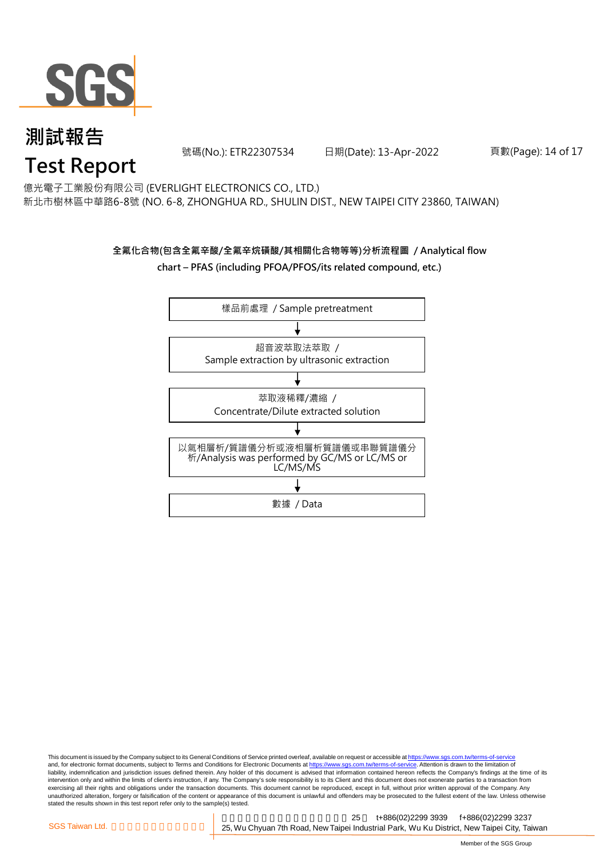

號碼(No.): ETR22307534 日期(Date): 13-Apr-2022

頁數(Page): 14 of 17

億光電子工業股份有限公司 (EVERLIGHT ELECTRONICS CO., LTD.)

新北市樹林區中華路6-8號 (NO. 6-8, ZHONGHUA RD., SHULIN DIST., NEW TAIPEI CITY 23860, TAIWAN)

#### **全氟化合物(包含全氟辛酸/全氟辛烷磺酸/其相關化合物等等)分析流程圖 / Analytical flow chart – PFAS (including PFOA/PFOS/its related compound, etc.)**



This document is issued by the Company subject to its General Conditions of Service printed overleaf, available on request or accessible at https://www.sgs.com.tw/terms-of-service and, for electronic format documents, subject to Terms and Conditions for Electronic Documents at https://www.sgs.com.tw/terms-of-service. Attention is drawn to the limitation of liability, indemnification and jurisdiction issues defined therein. Any holder of this document is advised that information contained hereon reflects the Company's findings at the time of its intervention only and within the limits of client's instruction, if any. The Company's sole responsibility is to its Client and this document does not exonerate parties to a transaction from exercising all their rights and obligations under the transaction documents. This document cannot be reproduced, except in full, without prior written approval of the Company. Any<br>unauthorized alteration, forgery or falsif stated the results shown in this test report refer only to the sample(s) tested.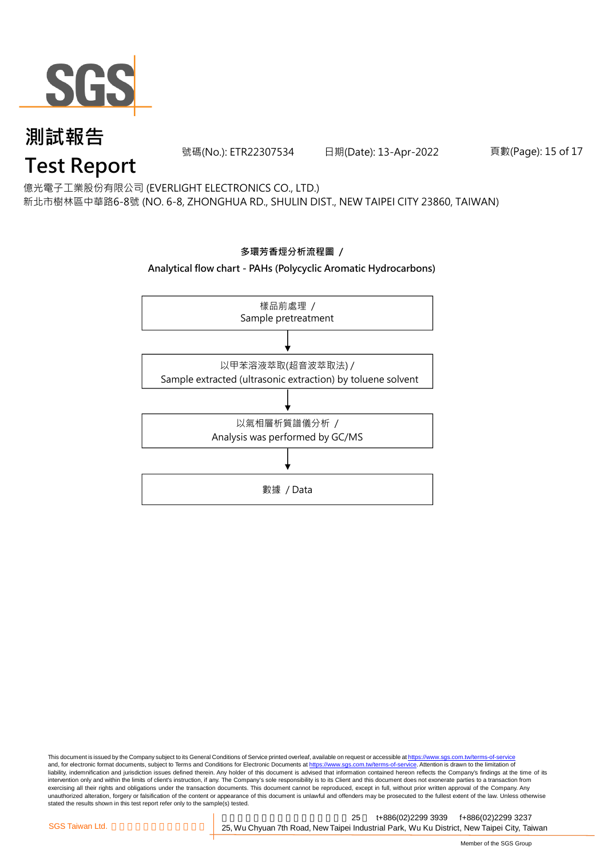

號碼(No.): ETR22307534 日期(Date): 13-Apr-2022

#### 頁數(Page): 15 of 17

億光電子工業股份有限公司 (EVERLIGHT ELECTRONICS CO., LTD.)

新北市樹林區中華路6-8號 (NO. 6-8, ZHONGHUA RD., SHULIN DIST., NEW TAIPEI CITY 23860, TAIWAN)



#### This document is issued by the Company subject to its General Conditions of Service printed overleaf, available on request or accessible at <u>https://www.sgs.com.tw/terms-of-service</u><br>and, for electronic format documents, su liability, indemnification and jurisdiction issues defined therein. Any holder of this document is advised that information contained hereon reflects the Company's findings at the time of its intervention only and within the limits of client's instruction, if any. The Company's sole responsibility is to its Client and this document does not exonerate parties to a transaction from exercising all their rights and obligations under the transaction documents. This document cannot be reproduced, except in full, without prior written approval of the Company. Any<br>unauthorized alteration, forgery or falsif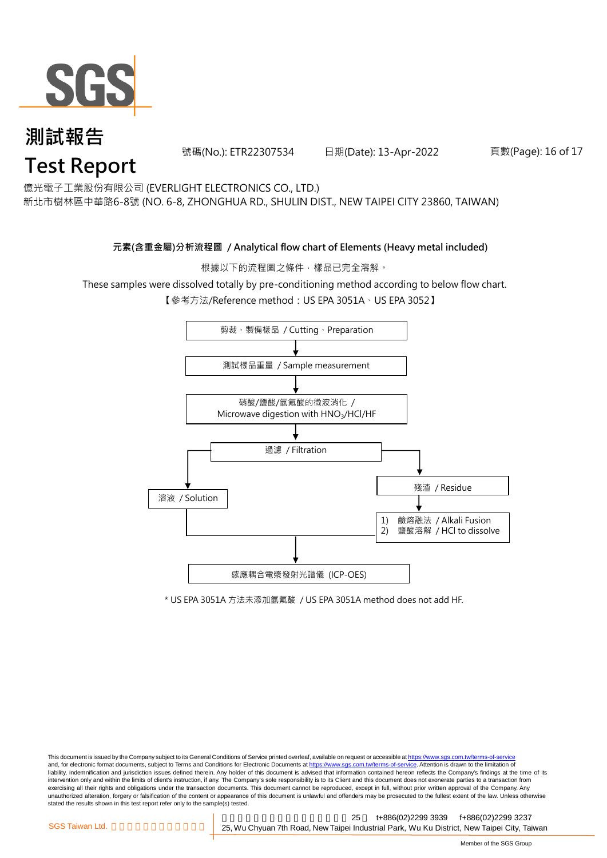

號碼(No.): ETR22307534 日期(Date): 13-Apr-2022

#### 頁數(Page): 16 of 17

億光電子工業股份有限公司 (EVERLIGHT ELECTRONICS CO., LTD.)

新北市樹林區中華路6-8號 (NO. 6-8, ZHONGHUA RD., SHULIN DIST., NEW TAIPEI CITY 23860, TAIWAN)

#### **元素(含重金屬)分析流程圖 / Analytical flow chart of Elements (Heavy metal included)**

根據以下的流程圖之條件,樣品已完全溶解。

These samples were dissolved totally by pre-conditioning method according to below flow chart.

【參考方法/Reference method:US EPA 3051A、US EPA 3052】



\* US EPA 3051A 方法未添加氫氟酸 / US EPA 3051A method does not add HF.

This document is issued by the Company subject to its General Conditions of Service printed overleaf, available on request or accessible at https://www.sgs.com.tw/terms-of-service and, for electronic format documents, subject to Terms and Conditions for Electronic Documents at https://www.sgs.com.tw/terms-of-service. Attention is drawn to the limitation of liability, indemnification and jurisdiction issues defined therein. Any holder of this document is advised that information contained hereon reflects the Company's findings at the time of its intervention only and within the limits of client's instruction, if any. The Company's sole responsibility is to its Client and this document does not exonerate parties to a transaction from exercising all their rights and obligations under the transaction documents. This document cannot be reproduced, except in full, without prior written approval of the Company. Any<br>unauthorized alteration, forgery or falsif stated the results shown in this test report refer only to the sample(s) tested.